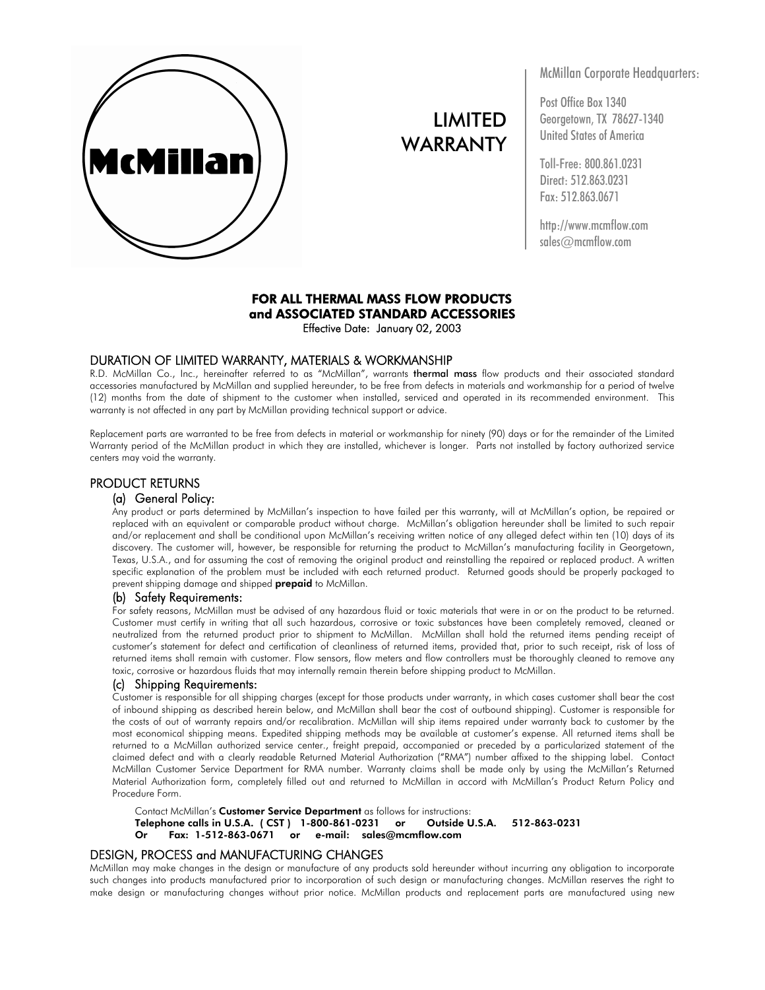

# LIMITED WARRANTY

McMillan Corporate Headquarters:

Post Office Box 1340 Georgetown, TX 78627-1340 United States of America

Toll-Free: 800.861.0231 Direct: 512.863.0231 Fax: 512.863.0671

http://www.mcmflow.com sales@mcmflow.com

# FOR ALL THERMAL MASS FLOW PRODUCTS and ASSOCIATED STANDARD ACCESSORIES

Effective Date: January 02, 2003

# DURATION OF LIMITED WARRANTY, MATERIALS & WORKMANSHIP

R.D. McMillan Co., Inc., hereinafter referred to as "McMillan", warrants thermal mass flow products and their associated standard accessories manufactured by McMillan and supplied hereunder, to be free from defects in materials and workmanship for a period of twelve (12) months from the date of shipment to the customer when installed, serviced and operated in its recommended environment. This warranty is not affected in any part by McMillan providing technical support or advice.

Replacement parts are warranted to be free from defects in material or workmanship for ninety (90) days or for the remainder of the Limited Warranty period of the McMillan product in which they are installed, whichever is longer. Parts not installed by factory authorized service centers may void the warranty.

## PRODUCT RETURNS

# (a) General Policy:

Any product or parts determined by McMillan's inspection to have failed per this warranty, will at McMillan's option, be repaired or replaced with an equivalent or comparable product without charge. McMillan's obligation hereunder shall be limited to such repair and/or replacement and shall be conditional upon McMillan's receiving written notice of any alleged defect within ten (10) days of its discovery. The customer will, however, be responsible for returning the product to McMillan's manufacturing facility in Georgetown, Texas, U.S.A., and for assuming the cost of removing the original product and reinstalling the repaired or replaced product. A written specific explanation of the problem must be included with each returned product. Returned goods should be properly packaged to prevent shipping damage and shipped **prepaid** to McMillan.

## (b) Safety Requirements:

For safety reasons, McMillan must be advised of any hazardous fluid or toxic materials that were in or on the product to be returned. Customer must certify in writing that all such hazardous, corrosive or toxic substances have been completely removed, cleaned or neutralized from the returned product prior to shipment to McMillan. McMillan shall hold the returned items pending receipt of customer's statement for defect and certification of cleanliness of returned items, provided that, prior to such receipt, risk of loss of returned items shall remain with customer. Flow sensors, flow meters and flow controllers must be thoroughly cleaned to remove any toxic, corrosive or hazardous fluids that may internally remain therein before shipping product to McMillan.

#### (c) Shipping Requirements:

Customer is responsible for all shipping charges (except for those products under warranty, in which cases customer shall bear the cost of inbound shipping as described herein below, and McMillan shall bear the cost of outbound shipping). Customer is responsible for the costs of out of warranty repairs and/or recalibration. McMillan will ship items repaired under warranty back to customer by the most economical shipping means. Expedited shipping methods may be available at customer's expense. All returned items shall be returned to a McMillan authorized service center., freight prepaid, accompanied or preceded by a particularized statement of the claimed defect and with a clearly readable Returned Material Authorization ("RMA") number affixed to the shipping label. Contact McMillan Customer Service Department for RMA number. Warranty claims shall be made only by using the McMillan's Returned Material Authorization form, completely filled out and returned to McMillan in accord with McMillan's Product Return Policy and Procedure Form.

Contact McMillan's **Customer Service Department** as follows for instructions:<br>Telephone calls in U.S.A. (CST) 1-800-861-0231 vor volutside U.S.A. Telephone calls in U.S.A. ( CST ) 1-800-861-0231 or Outside U.S.A. 512-863-0231 Or Fax: 1-512-863-0671 or e-mail: sales@mcmflow.com

# DESIGN, PROCESS and MANUFACTURING CHANGES

McMillan may make changes in the design or manufacture of any products sold hereunder without incurring any obligation to incorporate such changes into products manufactured prior to incorporation of such design or manufacturing changes. McMillan reserves the right to make design or manufacturing changes without prior notice. McMillan products and replacement parts are manufactured using new